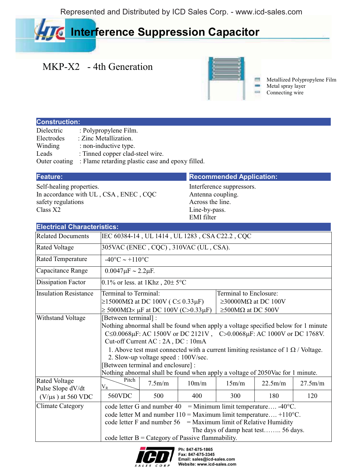Represented and Distributed by ICD Sales Corp. - www.icd-sales.com

# **Interference Suppression Capacitor**

## MKP-X2 - 4th Generation



Metallized Polypropylene Film Metal spray layer Connecting wire

### **Construction:**

| Dielectric    | : Polypropylene Film.                            |
|---------------|--------------------------------------------------|
| Electrodes    | : Zinc Metallization.                            |
| Winding       | : non-inductive type.                            |
| Leads         | : Tinned copper clad-steel wire.                 |
| Outer coating | : Flame retarding plastic case and epoxy filled. |

Self-healing properties. In accordance with UL , CSA , ENEC , CQC safety regulations Class X2

### **Feature: Recommended Application: Recommended Application:**

Interference suppressors. Antenna coupling. Across the line. Line-by-pass. EMI filter

| <b>Electrical Characteristics:</b>        |                                                |                                                                |       |                                                                                          |         |         |  |  |  |  |  |
|-------------------------------------------|------------------------------------------------|----------------------------------------------------------------|-------|------------------------------------------------------------------------------------------|---------|---------|--|--|--|--|--|
| <b>Related Documents</b>                  | IEC 60384-14, UL 1414, UL 1283, CSA C22.2, CQC |                                                                |       |                                                                                          |         |         |  |  |  |  |  |
| <b>Rated Voltage</b>                      | 305VAC (ENEC, CQC), 310VAC (UL, CSA).          |                                                                |       |                                                                                          |         |         |  |  |  |  |  |
| <b>Rated Temperature</b>                  |                                                | $-40^{\circ}$ C ~ +110 <sup>o</sup> C                          |       |                                                                                          |         |         |  |  |  |  |  |
| Capacitance Range                         | $0.0047 \mu F \sim 2.2 \mu F$ .                |                                                                |       |                                                                                          |         |         |  |  |  |  |  |
| <b>Dissipation Factor</b>                 |                                                | 0.1% or less. at 1Khz, $20 \pm 5$ °C                           |       |                                                                                          |         |         |  |  |  |  |  |
| <b>Insulation Resistance</b>              | Terminal to Terminal:                          |                                                                |       | Terminal to Enclosure:                                                                   |         |         |  |  |  |  |  |
|                                           |                                                | $\geq$ 15000MΩ at DC 100V (C≤ 0.33μF)                          |       | $\geq$ 30000M $\Omega$ at DC 100V                                                        |         |         |  |  |  |  |  |
|                                           |                                                | $\geq$ 5000M $\Omega \times \mu$ F at DC 100V (C>0.33 $\mu$ F) |       | $\geq$ 500MΩ at DC 500V                                                                  |         |         |  |  |  |  |  |
| Withstand Voltage                         | [Between terminal] :                           |                                                                |       |                                                                                          |         |         |  |  |  |  |  |
|                                           |                                                |                                                                |       | Nothing abnormal shall be found when apply a voltage specified below for 1 minute        |         |         |  |  |  |  |  |
|                                           |                                                |                                                                |       | C ≤ 0.0068μF: AC 1500V or DC 2121V, C > 0.0068μF: AC 1000V or DC 1768V.                  |         |         |  |  |  |  |  |
|                                           |                                                | Cut-off Current AC : 2A, DC : 10mA                             |       |                                                                                          |         |         |  |  |  |  |  |
|                                           |                                                |                                                                |       | 1. Above test must connected with a current limiting resistance of $1 \Omega$ / Voltage. |         |         |  |  |  |  |  |
|                                           |                                                | 2. Slow-up voltage speed : 100V/sec.                           |       |                                                                                          |         |         |  |  |  |  |  |
|                                           |                                                | [Between terminal and enclosure] :                             |       |                                                                                          |         |         |  |  |  |  |  |
|                                           |                                                |                                                                |       | Nothing abnormal shall be found when apply a voltage of 2050Vac for 1 minute.            |         |         |  |  |  |  |  |
| <b>Rated Voltage</b><br>Pulse Slope dV/dt | Pitch<br>$\rm V_R$                             | 7.5m/m                                                         | 10m/m | 15m/m                                                                                    | 22.5m/m | 27.5m/m |  |  |  |  |  |
| $(V/\mu s)$ at 560 VDC                    | 560VDC                                         | 500                                                            | 400   | 300                                                                                      | 180     | 120     |  |  |  |  |  |
| <b>Climate Category</b>                   |                                                | code letter G and number 40                                    |       | = Minimum limit temperature -40 $^{\circ}$ C.                                            |         |         |  |  |  |  |  |
|                                           |                                                |                                                                |       | code letter M and number $110 =$ Maximum limit temperature +110°C.                       |         |         |  |  |  |  |  |
|                                           |                                                | code letter F and number 56                                    |       | $=$ Maximum limit of Relative Humidity                                                   |         |         |  |  |  |  |  |
|                                           |                                                |                                                                |       | The days of damp heat test 56 days.                                                      |         |         |  |  |  |  |  |
|                                           |                                                | code letter $B =$ Category of Passive flammability.            |       |                                                                                          |         |         |  |  |  |  |  |